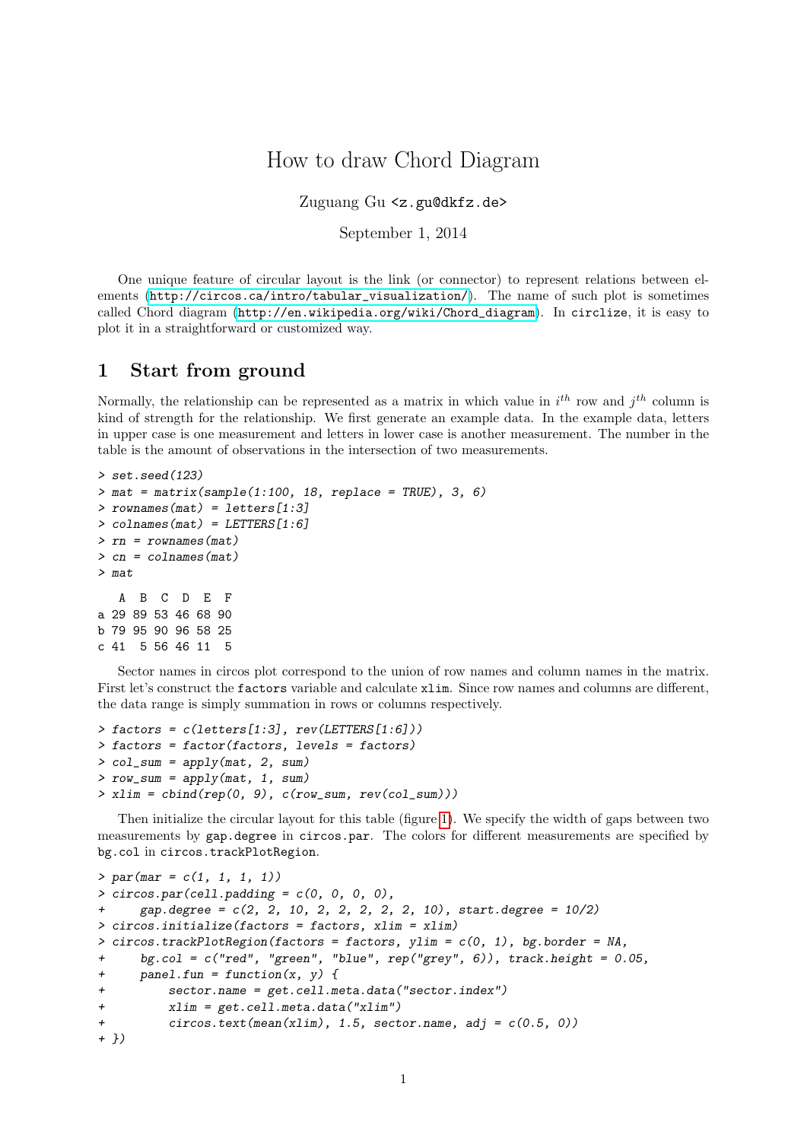# How to draw Chord Diagram

Zuguang Gu <z.gu@dkfz.de>

September 1, 2014

One unique feature of circular layout is the link (or connector) to represent relations between elements ([http://circos.ca/intro/tabular\\_visualization/](http://circos.ca/intro/tabular_visualization/)). The name of such plot is sometimes called Chord diagram ([http://en.wikipedia.org/wiki/Chord\\_diagram](http://en.wikipedia.org/wiki/Chord_diagram)). In circlize, it is easy to plot it in a straightforward or customized way.

# 1 Start from ground

Normally, the relationship can be represented as a matrix in which value in  $i^{th}$  row and  $j^{th}$  column is kind of strength for the relationship. We first generate an example data. In the example data, letters in upper case is one measurement and letters in lower case is another measurement. The number in the table is the amount of observations in the intersection of two measurements.

```
> set.seed(123)
> mat = matrix(sample(1:100, 18, replace = TRUE), 3, 6)
> rownames(mat) = letters[1:3]
> colnames(mat) = LETTERS[1:6]
> rn = rownames(mat)> cn = colnames(mat)> mat
  A B C D E F
a 29 89 53 46 68 90
b 79 95 90 96 58 25
c 41 5 56 46 11 5
```
Sector names in circos plot correspond to the union of row names and column names in the matrix. First let's construct the factors variable and calculate xlim. Since row names and columns are different, the data range is simply summation in rows or columns respectively.

```
> factors = c(letters[1:3], rev(LETTERS[1:6]))
> factors = factor(factors, levels = factors)
> col_sum = apply(mat, 2, sum)
> row_sum = apply(mat, 1, sum)
> xlim = \text{cbind}(\text{rep}(0, 9), \text{c}(\text{row\_sum}, \text{rev}(\text{col\_sum})))
```
Then initialize the circular layout for this table (figure [1\)](#page-1-0). We specify the width of gaps between two measurements by gap.degree in circos.par. The colors for different measurements are specified by bg.col in circos.trackPlotRegion.

```
> par(max = c(1, 1, 1, 1))> circos.par(cell.padding = c(0, 0, 0, 0),
      gap. degree = c(2, 2, 10, 2, 2, 2, 2, 2, 10), start. degree = <math>10/2</math>> circos.initialize(factors = factors, xlim = xlim)
> circos.trackPlotRegion(factors = factors, ylim = c(0, 1), bg.border = NA,
      bg.col = c("red", "green", "blue", rep("grey", 6)), track.height = 0.05,
+ panel.fun = function(x, y) {
+ sector.name = get.cell.meta.data("sector.index")
+ xlim = get.cell.meta.data("xlim")
          circs. text(mean(xlim), 1.5, sector.name, adj = c(0.5, 0))+ })
```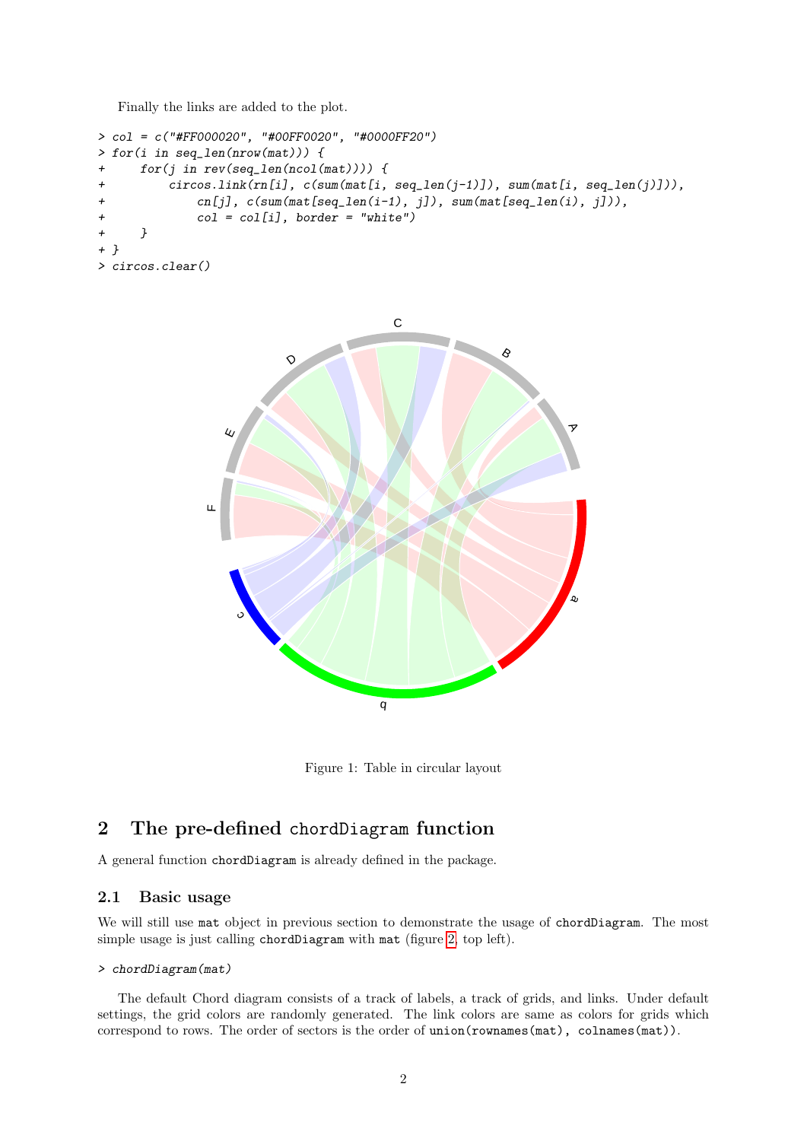Finally the links are added to the plot.

```
> col = c("#FF000020", "#00FF0020", "#0000FF20")
> for(i in seq_len(nrow(mat))) {
+ for(j in rev(seq_len(ncol(mat)))) {
+ circos.link(rn[i], c(sum(mat[i, seq_len(j-1)]), sum(mat[i, seq_len(j)])),
             cn[j], c(sum(mat[seq\_len(i-1), j]), sum(mat[seq\_len(i), j])),
             col = col[i], border = "white")
+ }
+ }
> circos.clear()
```


<span id="page-1-0"></span>Figure 1: Table in circular layout

# 2 The pre-defined chordDiagram function

A general function chordDiagram is already defined in the package.

### 2.1 Basic usage

We will still use mat object in previous section to demonstrate the usage of chordDiagram. The most simple usage is just calling chordDiagram with mat (figure [2,](#page-2-0) top left).

#### > chordDiagram(mat)

The default Chord diagram consists of a track of labels, a track of grids, and links. Under default settings, the grid colors are randomly generated. The link colors are same as colors for grids which correspond to rows. The order of sectors is the order of union(rownames(mat), colnames(mat)).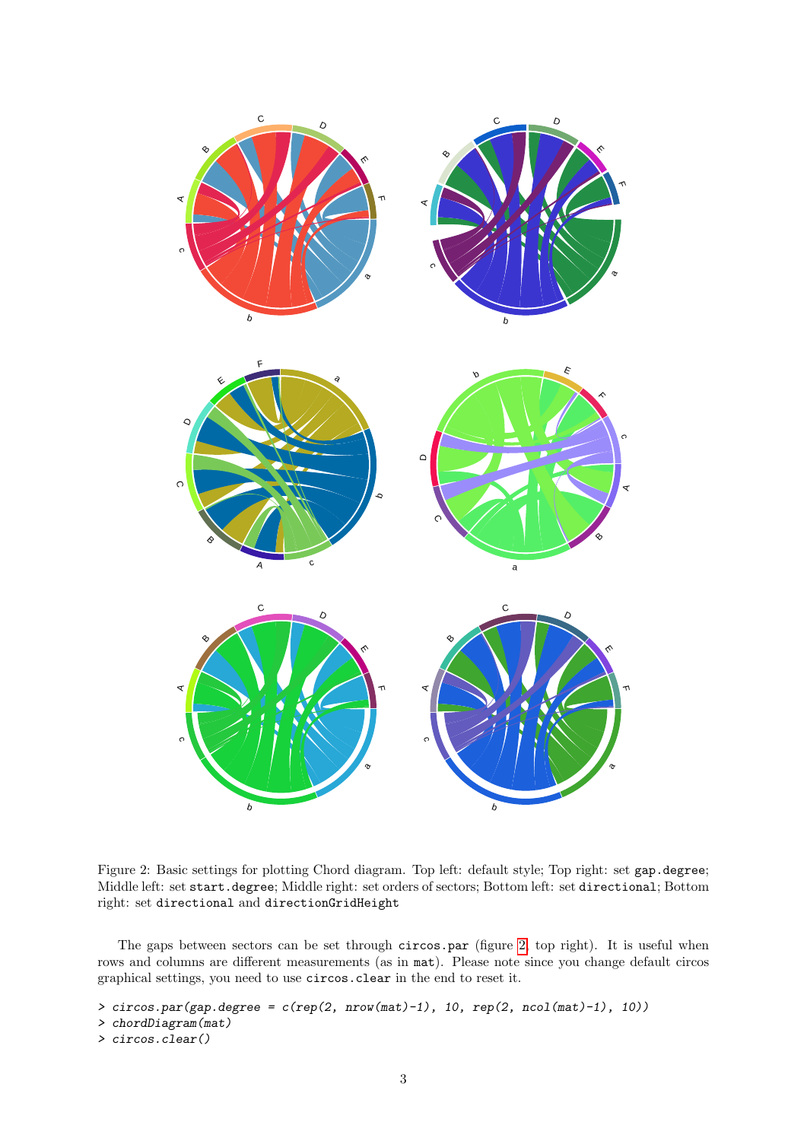

<span id="page-2-0"></span>Figure 2: Basic settings for plotting Chord diagram. Top left: default style; Top right: set gap.degree; Middle left: set start.degree; Middle right: set orders of sectors; Bottom left: set directional; Bottom right: set directional and directionGridHeight

The gaps between sectors can be set through circos.par (figure [2,](#page-2-0) top right). It is useful when rows and columns are different measurements (as in mat). Please note since you change default circos graphical settings, you need to use circos.clear in the end to reset it.

```
\geq circos.par(gap.degree = c(rep(2, nrow(mat)-1), 10, rep(2, ncol(mat)-1), 10))
```
> chordDiagram(mat)

```
> circos.clear()
```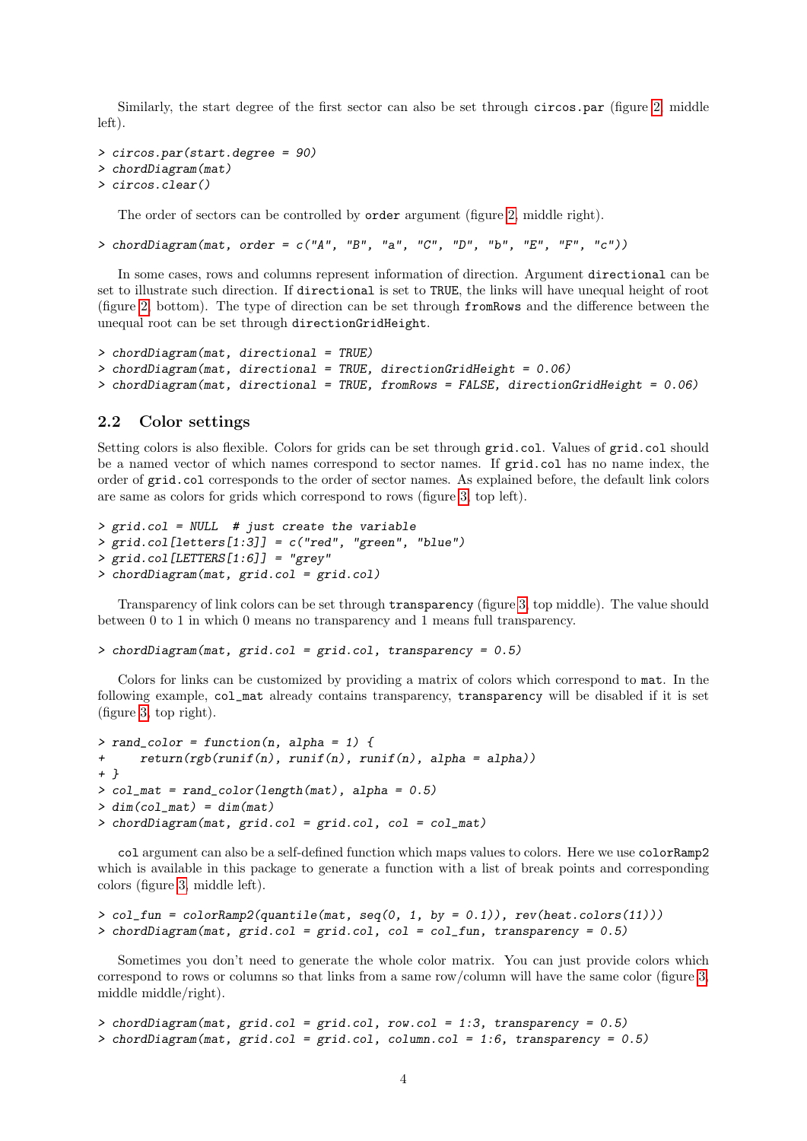Similarly, the start degree of the first sector can also be set through circos.par (figure [2,](#page-2-0) middle left).

```
> circos.par(start.degree = 90)
> chordDiagram(mat)
> circos.clear()
```
The order of sectors can be controlled by order argument (figure [2,](#page-2-0) middle right).

> chordDiagram(mat, order =  $c("A", "B", "a", "C", "D", "b", "E", "F", "c"))$ 

In some cases, rows and columns represent information of direction. Argument directional can be set to illustrate such direction. If directional is set to TRUE, the links will have unequal height of root (figure [2,](#page-2-0) bottom). The type of direction can be set through fromRows and the difference between the unequal root can be set through directionGridHeight.

```
> chordDiagram(mat, directional = TRUE)
> chordDiagram(mat, directional = TRUE, directionGridHeight = 0.06)
> chordDiagram(mat, directional = TRUE, fromRows = FALSE, directionGridHeight = 0.06)
```
#### 2.2 Color settings

Setting colors is also flexible. Colors for grids can be set through grid.col. Values of grid.col should be a named vector of which names correspond to sector names. If grid.col has no name index, the order of grid.col corresponds to the order of sector names. As explained before, the default link colors are same as colors for grids which correspond to rows (figure [3,](#page-4-0) top left).

```
> grid.col = NULL # just create the variable
> grid.col[letters[1:3]] = c("red", "green", "blue")
> grid.col[LETTERS[1:6]] = "grey"
> chordDiagram(mat, grid.col = grid.col)
```
Transparency of link colors can be set through transparency (figure [3,](#page-4-0) top middle). The value should between 0 to 1 in which 0 means no transparency and 1 means full transparency.

> chordDiagram(mat, grid.col = grid.col, transparency = 0.5)

Colors for links can be customized by providing a matrix of colors which correspond to mat. In the following example, col\_mat already contains transparency, transparency will be disabled if it is set (figure [3,](#page-4-0) top right).

```
> rand color = function(n, alpha = 1) {
+ return(rgb(runif(n), runif(n), runif(n), alpha = alpha))
+ }
> col_mat = rand_color(length(mat), alpha = 0.5)
> dim(col\_mat) = dim(mat)> chordDiagram(mat, grid.col = grid.col, col = col_mat)
```
col argument can also be a self-defined function which maps values to colors. Here we use colorRamp2 which is available in this package to generate a function with a list of break points and corresponding colors (figure [3,](#page-4-0) middle left).

```
> col\_fun = colorRamp2(quantile(mat, seq(0, 1, by = 0.1)), rev(heat.colors(11)))> chordDiagram(mat, grid.col = grid.col, col = col_fun, transparency = 0.5)
```
Sometimes you don't need to generate the whole color matrix. You can just provide colors which correspond to rows or columns so that links from a same row/column will have the same color (figure [3,](#page-4-0) middle middle/right).

```
> chordDiagram(mat, grid.col = grid.col, row.col = 1:3, transparency = 0.5)
> chordDiagram(mat, grid.col = grid.col, column.col = 1:6, transparency = 0.5)
```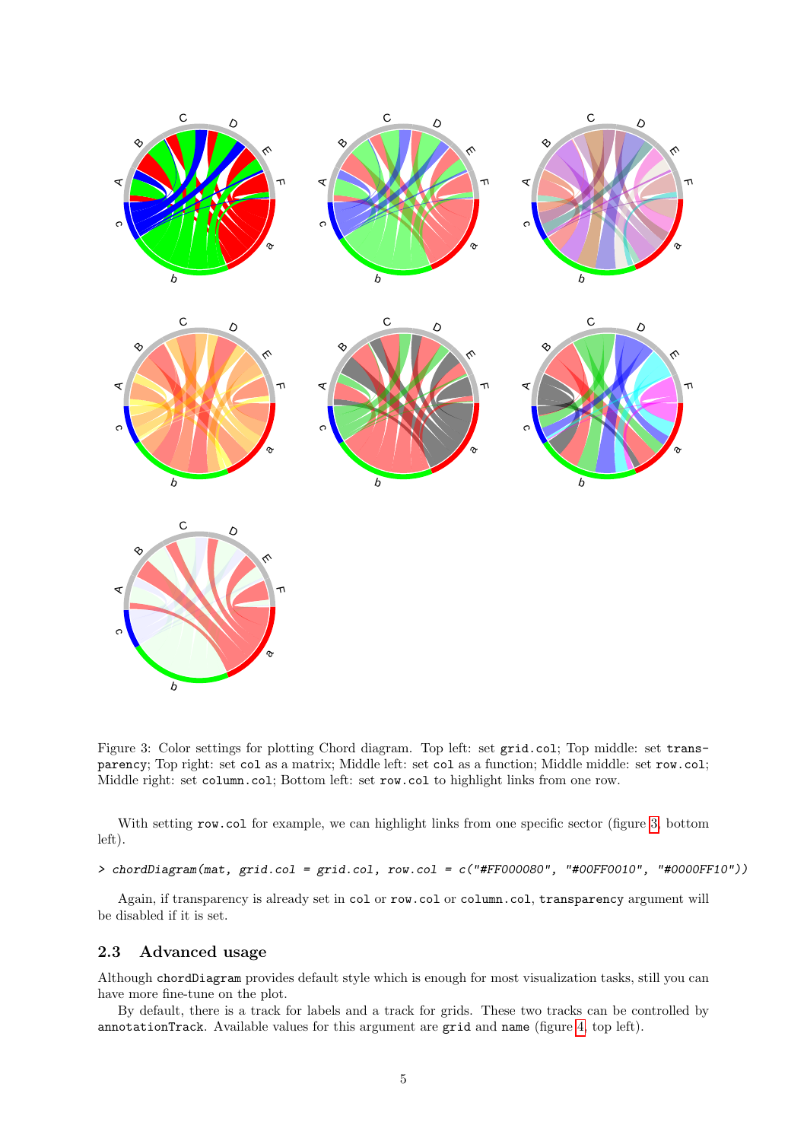

<span id="page-4-0"></span>Figure 3: Color settings for plotting Chord diagram. Top left: set grid.col; Top middle: set transparency; Top right: set col as a matrix; Middle left: set col as a function; Middle middle: set row.col; Middle right: set column.col; Bottom left: set row.col to highlight links from one row.

With setting row.col for example, we can highlight links from one specific sector (figure [3,](#page-4-0) bottom left).

> chordDiagram(mat, grid.col = grid.col, row.col = c("#FF000080", "#00FF0010", "#0000FF10"))

Again, if transparency is already set in col or row.col or column.col, transparency argument will be disabled if it is set.

# 2.3 Advanced usage

Although chordDiagram provides default style which is enough for most visualization tasks, still you can have more fine-tune on the plot.

By default, there is a track for labels and a track for grids. These two tracks can be controlled by annotationTrack. Available values for this argument are grid and name (figure [4,](#page-5-0) top left).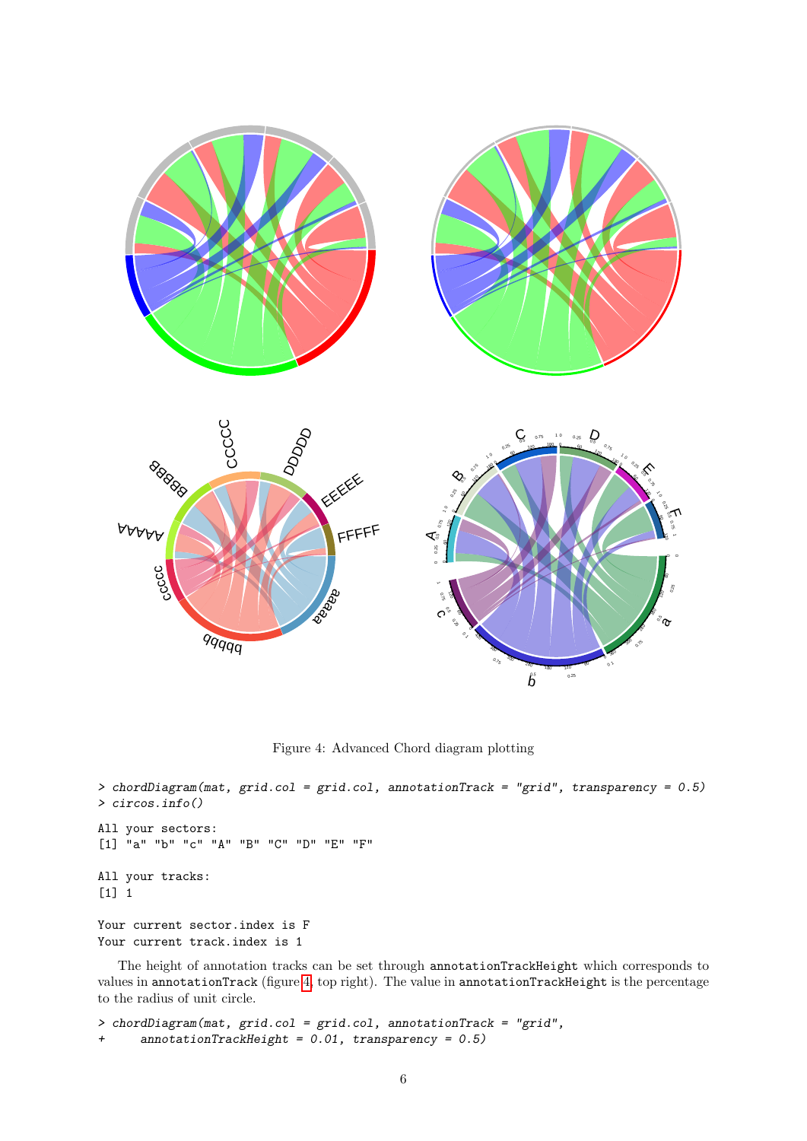

<span id="page-5-0"></span>Figure 4: Advanced Chord diagram plotting

```
> chordDiagram(mat, grid.col = grid.col, annotationTrack = "grid", transparency = 0.5)
> circos.info()
All your sectors:
[1] "a" "b" "c" "A" "B" "C" "D" "E" "F"
All your tracks:
[1] 1
Your current sector.index is F
Your current track.index is 1
```
The height of annotation tracks can be set through annotationTrackHeight which corresponds to values in annotationTrack (figure [4,](#page-5-0) top right). The value in annotationTrackHeight is the percentage to the radius of unit circle.

```
> chordDiagram(mat, grid.col = grid.col, annotationTrack = "grid",
+ annotationTrackHeight = 0.01, transparency = 0.5)
```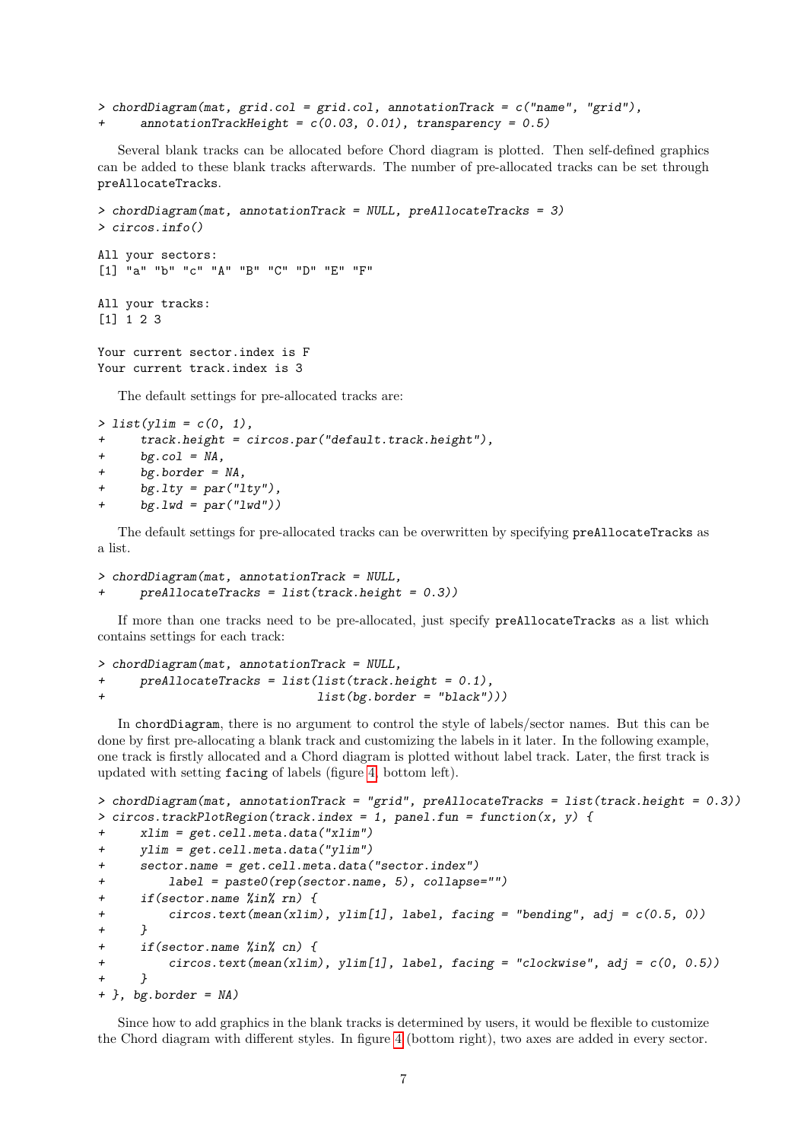```
> chordDiagram(mat, grid.col = grid.col, annotationTrack = c("name", "grid"),
      \text{annotationTrackHeight} = c(0.03, 0.01), \text{transport} = 0.5)
```
Several blank tracks can be allocated before Chord diagram is plotted. Then self-defined graphics can be added to these blank tracks afterwards. The number of pre-allocated tracks can be set through preAllocateTracks.

```
> chordDiagram(mat, annotationTrack = NULL, preAllocateTracks = 3)
> circos.info()
All your sectors:
[1] "a" "b" "c" "A" "B" "C" "D" "E" "F"
All your tracks:
[1] 1 2 3
Your current sector.index is F
Your current track.index is 3
   The default settings for pre-allocated tracks are:
```

```
> list(ylim = c(0, 1),
```
- + track.height = circos.par("default.track.height"),
- +  $bg.col = NA$ ,
- + bg.border = NA,
- + bg.lty = par("lty"),
- $bg.1wd = par("1wd")$

The default settings for pre-allocated tracks can be overwritten by specifying preAllocateTracks as a list.

```
> chordDiagram(mat, annotationTrack = NULL,
     preAllocateTracks = list(track.height = 0.3)
```
If more than one tracks need to be pre-allocated, just specify preAllocateTracks as a list which contains settings for each track:

```
> chordDiagram(mat, annotationTrack = NULL,
+ preAllocateTracks = list(list(track.height = 0.1),
                              list(bg.border = "black"))
```
In chordDiagram, there is no argument to control the style of labels/sector names. But this can be done by first pre-allocating a blank track and customizing the labels in it later. In the following example, one track is firstly allocated and a Chord diagram is plotted without label track. Later, the first track is updated with setting facing of labels (figure [4,](#page-5-0) bottom left).

```
> chordDiagram(mat, annotationTrack = "grid", preAllocateTracks = list(track.height = 0.3))
> circos.trackPlotRegion(track.index = 1, panel.fun = function(x, y) {
+ xlim = get.cell.meta.data("xlim")
+ ylim = get.cell.meta.data("ylim")
+ sector.name = get.cell.meta.data("sector.index")
          label = paste0(rep(sector.name, 5), collapse="")+ if(sector.name %in% rn) {
+ circos.text(mean(xlim), ylim[1], label, facing = "bending", adj = c(0.5, 0))
+ }
      if(sector.name %in% cn) {
          \text{circ}.\text{text}(\text{mean}(\text{xlim}), \text{ylim}[1], \text{label}, \text{facing} = \text{"clockwise"}, adj = c(0, 0.5))
+ }
+ }, bg.border = NA)
```
Since how to add graphics in the blank tracks is determined by users, it would be flexible to customize the Chord diagram with different styles. In figure [4](#page-5-0) (bottom right), two axes are added in every sector.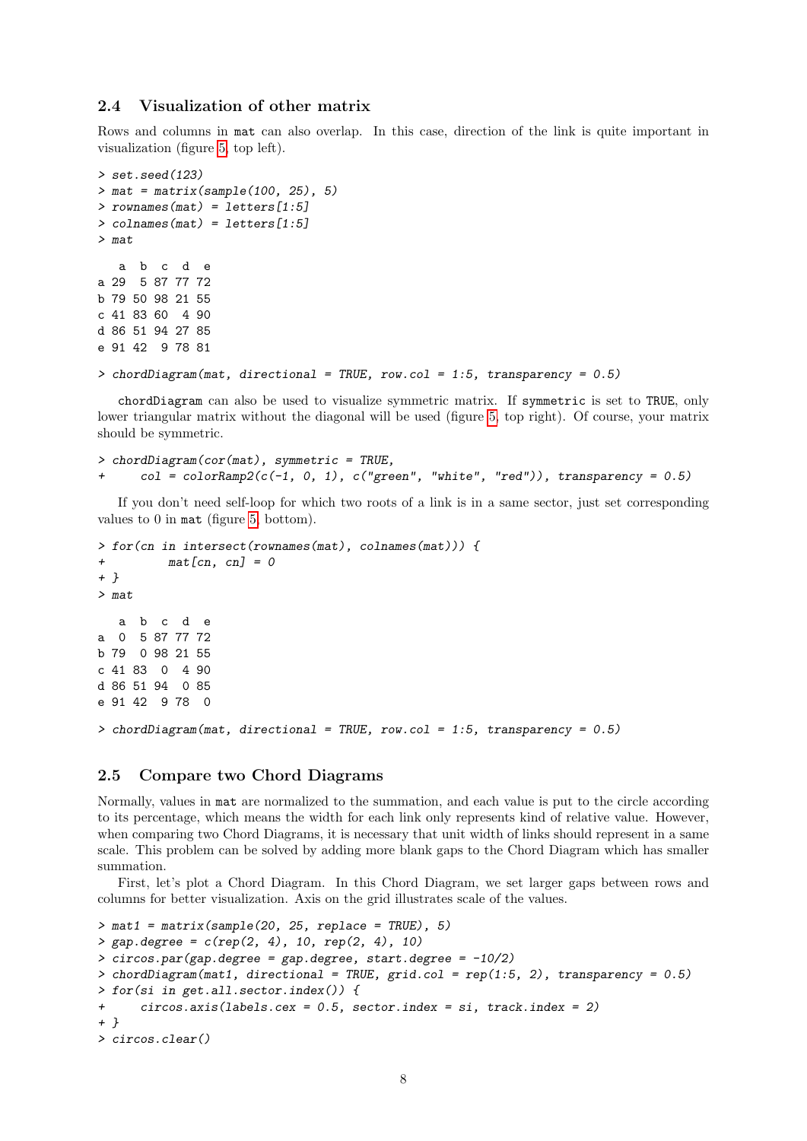## 2.4 Visualization of other matrix

Rows and columns in mat can also overlap. In this case, direction of the link is quite important in visualization (figure [5,](#page-8-0) top left).

```
> set.seed(123)
> mat = matrix(sample(100, 25), 5)
> rownames(mat) = letters[1:5]
> colnames(mat) = letters[1:5]
> mat
   a b c d e
a 29 5 87 77 72
b 79 50 98 21 55
c 41 83 60 4 90
d 86 51 94 27 85
e 91 42 9 78 81
```
 $>$  chordDiagram(mat, directional = TRUE, row.col = 1:5, transparency = 0.5)

chordDiagram can also be used to visualize symmetric matrix. If symmetric is set to TRUE, only lower triangular matrix without the diagonal will be used (figure [5,](#page-8-0) top right). Of course, your matrix should be symmetric.

> chordDiagram(cor(mat), symmetric = TRUE,  $col = colorRamp2(c(-1, 0, 1), c("green", "white", "red"))$ , transparency = 0.5)

If you don't need self-loop for which two roots of a link is in a same sector, just set corresponding values to 0 in mat (figure [5,](#page-8-0) bottom).

```
> for(cn in intersect(rownames(mat), colnames(mat))) {
+ \text{mat}[cn, cn] = 0+ }
> mat
  a b c d e
a 0 5 87 77 72
b 79 0 98 21 55
c 41 83 0 4 90
d 86 51 94 0 85
e 91 42 9 78 0
> chordDiagram(mat, directional = TRUE, row.col = 1:5, transparency = 0.5)
```
### 2.5 Compare two Chord Diagrams

Normally, values in mat are normalized to the summation, and each value is put to the circle according to its percentage, which means the width for each link only represents kind of relative value. However, when comparing two Chord Diagrams, it is necessary that unit width of links should represent in a same scale. This problem can be solved by adding more blank gaps to the Chord Diagram which has smaller summation.

First, let's plot a Chord Diagram. In this Chord Diagram, we set larger gaps between rows and columns for better visualization. Axis on the grid illustrates scale of the values.

```
> \text{mat1} = \text{matrix}(\text{sample}(20, 25, \text{replace} = \text{TRUE}), 5)> gap.degree = c(rep(2, 4), 10, rep(2, 4), 10)
\geq circos.par(gap.degree = gap.degree, start.degree = -10/2)
> chordDiagram(mat1, directional = TRUE, grid.col = rep(1:5, 2), transparency = 0.5)
> for(si in get.all.sector.index()) {
+ circos.axis(labels.cex = 0.5, sector.index = si, track.index = 2)
+ }
> circos.clear()
```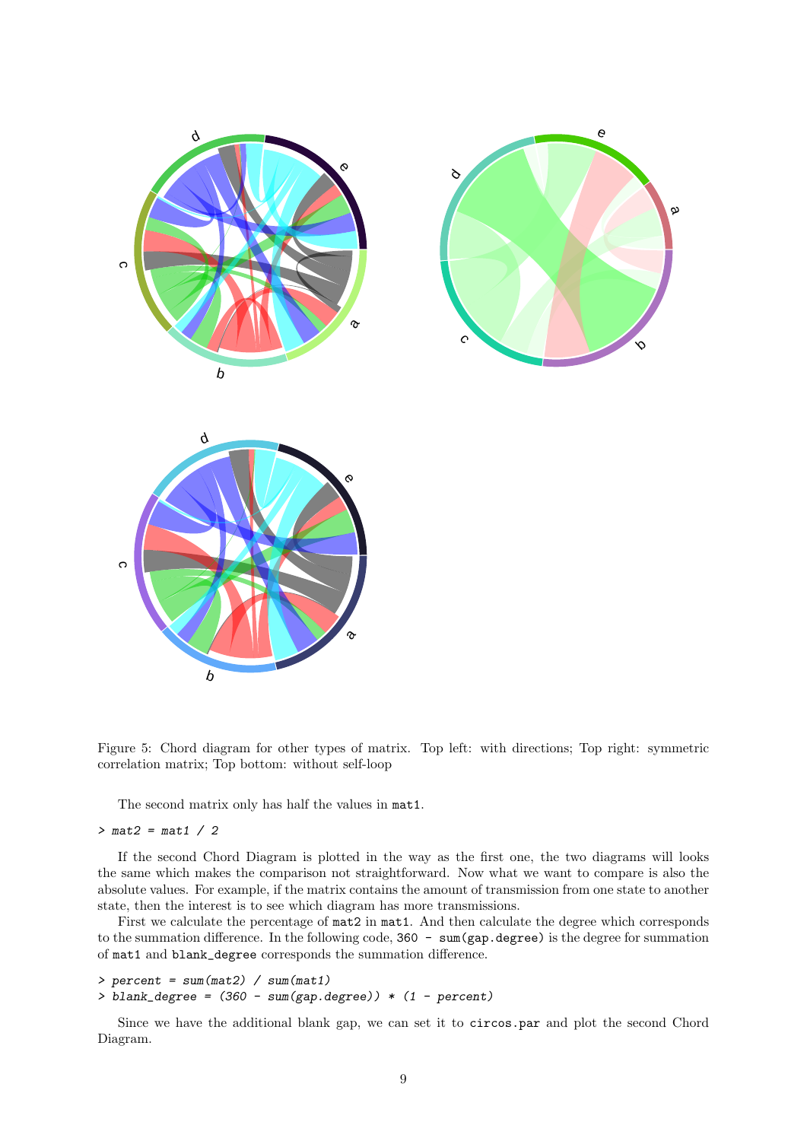

<span id="page-8-0"></span>Figure 5: Chord diagram for other types of matrix. Top left: with directions; Top right: symmetric correlation matrix; Top bottom: without self-loop

The second matrix only has half the values in mat1.

#### $> mat2 = mat1 / 2$

If the second Chord Diagram is plotted in the way as the first one, the two diagrams will looks the same which makes the comparison not straightforward. Now what we want to compare is also the absolute values. For example, if the matrix contains the amount of transmission from one state to another state, then the interest is to see which diagram has more transmissions.

First we calculate the percentage of mat2 in mat1. And then calculate the degree which corresponds to the summation difference. In the following code, 360 - sum(gap.degree) is the degree for summation of mat1 and blank\_degree corresponds the summation difference.

```
> percent = sum(mat2) / sum(mat1)
```

```
> blank_degree = (360 - sum(gap.dege)) * (1 - percent)
```
Since we have the additional blank gap, we can set it to circos.par and plot the second Chord Diagram.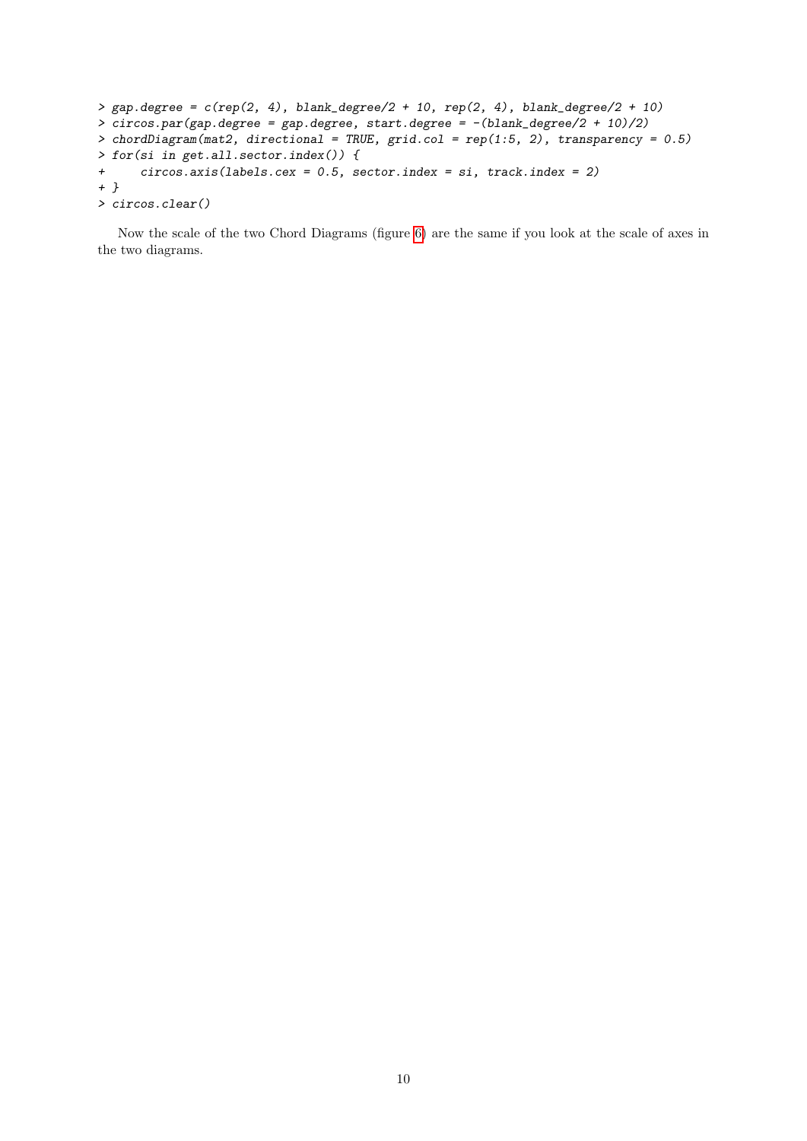```
> gap.degree = c(rep(2, 4), blank_degree/2 + 10, rep(2, 4), blank_degree/2 + 10)
> circos.par(gap.degree = gap.degree, start.degree = -(blank_degree/2 + 10)/2)
> chordDiagram(mat2, directional = TRUE, grid.col = rep(1:5, 2), transparency = 0.5)
> for(si in get.all.sector.index()) {
+ circos.axis(labels.cex = 0.5, sector.index = si, track.index = 2)
+ }
> circos.clear()
```
Now the scale of the two Chord Diagrams (figure [6\)](#page-10-0) are the same if you look at the scale of axes in the two diagrams.